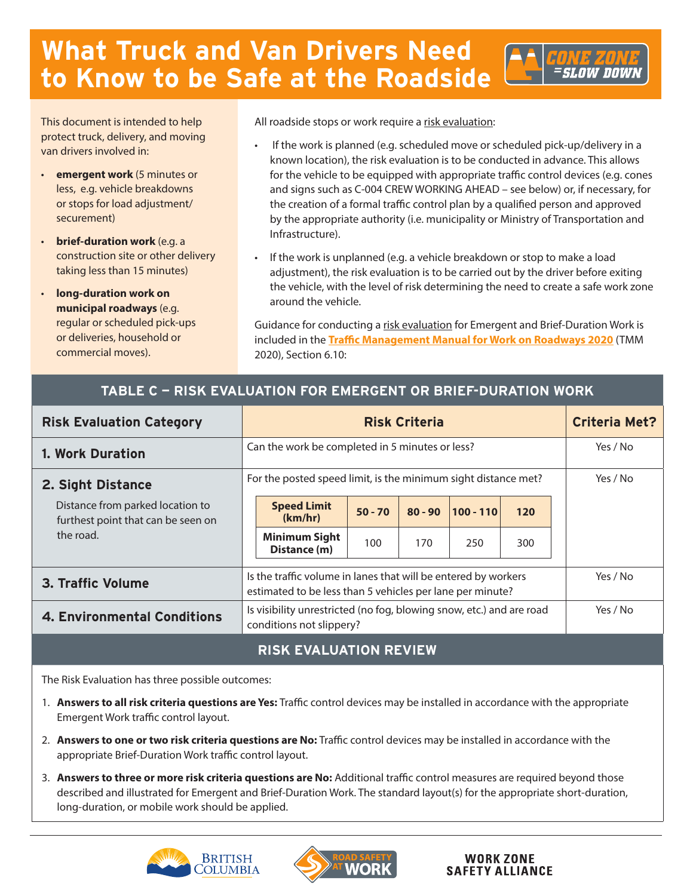# **What Truck and Van Drivers Need to Know to be Safe at the Roadside**

This document is intended to help protect truck, delivery, and moving van drivers involved in:

- **emergent work** (5 minutes or less, e.g. vehicle breakdowns or stops for load adjustment/ securement)
- **brief-duration work** (e.g. a construction site or other delivery taking less than 15 minutes)
- **long-duration work on municipal roadways** (e.g. regular or scheduled pick-ups or deliveries, household or commercial moves).

All roadside stops or work require a risk evaluation:

- If the work is planned (e.g. scheduled move or scheduled pick-up/delivery in a known location), the risk evaluation is to be conducted in advance. This allows for the vehicle to be equipped with appropriate traffic control devices (e.g. cones and signs such as C-004 CREW WORKING AHEAD – see below) or, if necessary, for the creation of a formal traffic control plan by a qualified person and approved by the appropriate authority (i.e. municipality or Ministry of Transportation and Infrastructure).
- If the work is unplanned (e.g. a vehicle breakdown or stop to make a load adjustment), the risk evaluation is to be carried out by the driver before exiting the vehicle, with the level of risk determining the need to create a safe work zone around the vehicle.

Guidance for conducting a risk evaluation for Emergent and Brief-Duration Work is included in the **[Traffic Management Manual for Work on Roadways 2020](http://www.gov.bc.ca/trafficmanagement)** (TMM 2020), Section 6.10:

## **TABLE C — RISK EVALUATION FOR EMERGENT OR BRIEF-DURATION WORK**

| <b>Risk Evaluation Category</b>                                                     | <b>Risk Criteria</b>                                           |                                                                                                                             |           |           |             |     |  | <b>Criteria Met?</b> |
|-------------------------------------------------------------------------------------|----------------------------------------------------------------|-----------------------------------------------------------------------------------------------------------------------------|-----------|-----------|-------------|-----|--|----------------------|
| 1. Work Duration                                                                    |                                                                | Can the work be completed in 5 minutes or less?                                                                             |           | Yes / No  |             |     |  |                      |
| 2. Sight Distance                                                                   | For the posted speed limit, is the minimum sight distance met? |                                                                                                                             |           |           |             |     |  | Yes / No             |
| Distance from parked location to<br>furthest point that can be seen on<br>the road. |                                                                | <b>Speed Limit</b><br>(km/hr)                                                                                               | $50 - 70$ | $80 - 90$ | $100 - 110$ | 120 |  |                      |
|                                                                                     |                                                                | <b>Minimum Sight</b><br>Distance (m)                                                                                        | 100       | 170       | 250         | 300 |  |                      |
| 3. Traffic Volume                                                                   |                                                                | Is the traffic volume in lanes that will be entered by workers<br>estimated to be less than 5 vehicles per lane per minute? |           | Yes / No  |             |     |  |                      |
| <b>4. Environmental Conditions</b>                                                  |                                                                | Is visibility unrestricted (no fog, blowing snow, etc.) and are road<br>conditions not slippery?                            |           | Yes / No  |             |     |  |                      |

## **RISK EVALUATION REVIEW**

The Risk Evaluation has three possible outcomes:

- 1. **Answers to all risk criteria questions are Yes:** Traffic control devices may be installed in accordance with the appropriate Emergent Work traffic control layout.
- 2. **Answers to one or two risk criteria questions are No:** Traffic control devices may be installed in accordance with the appropriate Brief-Duration Work traffic control layout.
- 3. **Answers to three or more risk criteria questions are No:** Additional traffic control measures are required beyond those described and illustrated for Emergent and Brief-Duration Work. The standard layout(s) for the appropriate short-duration, long-duration, or mobile work should be applied.





#### **WORK ZONE SAFETY ALLIANCE**